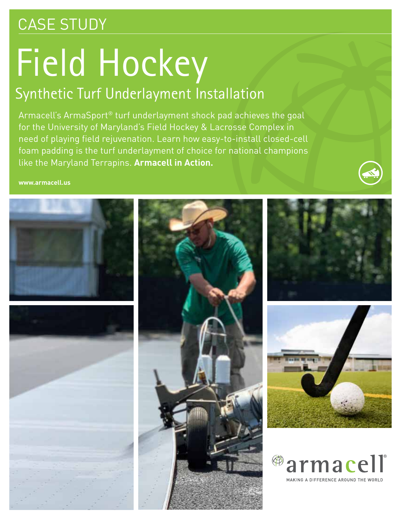## CASE STUDY

# Field Hockey

## Synthetic Turf Underlayment Installation

Armacell's ArmaSport® turf underlayment shock pad achieves the goal for the University of Maryland's Field Hockey & Lacrosse Complex in need of playing field rejuvenation. Learn how easy-to-install closed-cell foam padding is the turf underlayment of choice for national champions like the Maryland Terrapins. **Armacell in Action.** 

**www.armacell.us**

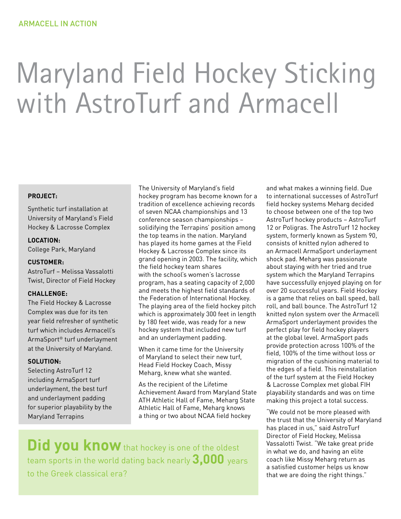## Maryland Field Hockey Sticking with AstroTurf and Armacell

#### **PROJECT:**

Synthetic turf installation at University of Maryland's Field Hockey & Lacrosse Complex

**LOCATION:**  College Park, Maryland

#### **CUSTOMER:**

AstroTurf – Melissa Vassalotti Twist, Director of Field Hockey

#### **CHALLENGE:**

The Field Hockey & Lacrosse Complex was due for its ten year field refresher of synthetic turf which includes Armacell's ArmaSport® turf underlayment at the University of Maryland.

#### **SOLUTION:**

Selecting AstroTurf 12 including ArmaSport turf underlayment, the best turf and underlayment padding for superior playability by the Maryland Terrapins

The University of Maryland's field hockey program has become known for a tradition of excellence achieving records of seven NCAA championships and 13 conference season championships – solidifying the Terrapins' position among the top teams in the nation. Maryland has played its home games at the Field Hockey & Lacrosse Complex since its grand opening in 2003. The facility, which the field hockey team shares with the school's women's lacrosse program, has a seating capacity of 2,000 and meets the highest field standards of the Federation of International Hockey. The playing area of the field hockey pitch which is approximately 300 feet in length by 180 feet wide, was ready for a new hockey system that included new turf and an underlayment padding.

When it came time for the University of Maryland to select their new turf, Head Field Hockey Coach, Missy Meharg, knew what she wanted.

As the recipient of the Lifetime Achievement Award from Maryland State ATH Athletic Hall of Fame, Meharg State Athletic Hall of Fame, Meharg knows a thing or two about NCAA field hockey

**Did you know** that hockey is one of the oldest team sports in the world dating back nearly **3,000** years to the Greek classical era?

and what makes a winning field. Due to international successes of AstroTurf field hockey systems Meharg decided to choose between one of the top two AstroTurf hockey products – AstroTurf 12 or Poligras. The AstroTurf 12 hockey system, formerly known as System 90, consists of knitted nylon adhered to an Armacell ArmaSport underlayment shock pad. Meharg was passionate about staying with her tried and true system which the Maryland Terrapins have successfully enjoyed playing on for over 20 successful years. Field Hockey is a game that relies on ball speed, ball roll, and ball bounce. The AstroTurf 12 knitted nylon system over the Armacell ArmaSport underlayment provides the perfect play for field hockey players at the global level. ArmaSport pads provide protection across 100% of the field, 100% of the time without loss or migration of the cushioning material to the edges of a field. This reinstallation of the turf system at the Field Hockey & Lacrosse Complex met global FIH playability standards and was on time making this project a total success.

"We could not be more pleased with the trust that the University of Maryland has placed in us," said AstroTurf Director of Field Hockey, Melissa Vassalotti Twist. "We take great pride in what we do, and having an elite coach like Missy Meharg return as a satisfied customer helps us know that we are doing the right things."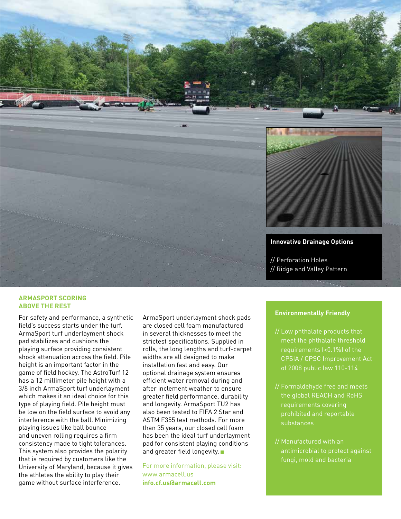

#### **ARMASPORT SCORING ABOVE THE REST**

For safety and performance, a synthetic field's success starts under the turf. ArmaSport turf underlayment shock pad stabilizes and cushions the playing surface providing consistent shock attenuation across the field. Pile height is an important factor in the game of field hockey. The AstroTurf 12 has a 12 millimeter pile height with a 3/8 inch ArmaSport turf underlayment which makes it an ideal choice for this type of playing field. Pile height must be low on the field surface to avoid any interference with the ball. Minimizing playing issues like ball bounce and uneven rolling requires a firm consistency made to tight tolerances. This system also provides the polarity that is required by customers like the University of Maryland, because it gives the athletes the ability to play their game without surface interference.

ArmaSport underlayment shock pads are closed cell foam manufactured in several thicknesses to meet the strictest specifications. Supplied in rolls, the long lengths and turf-carpet widths are all designed to make installation fast and easy. Our optional drainage system ensures efficient water removal during and after inclement weather to ensure greater field performance, durability and longevity. ArmaSport TU2 has also been tested to FIFA 2 Star and ASTM F355 test methods. For more than 35 years, our closed cell foam has been the ideal turf underlayment pad for consistent playing conditions and greater field longevity.

For more information, please visit: www.armacell.us **info.cf.us@armacell.com**

#### **Environmentally Friendly**

- meet the phthalate threshold requirements (<0.1%) of the CPSIA / CPSC Improvement Act of 2008 public law 110-114
- // Formaldehyde free and meets the global REACH and RoHS requirements covering substances
- // Manufactured with an antimicrobial to protect against fungi, mold and bacteria